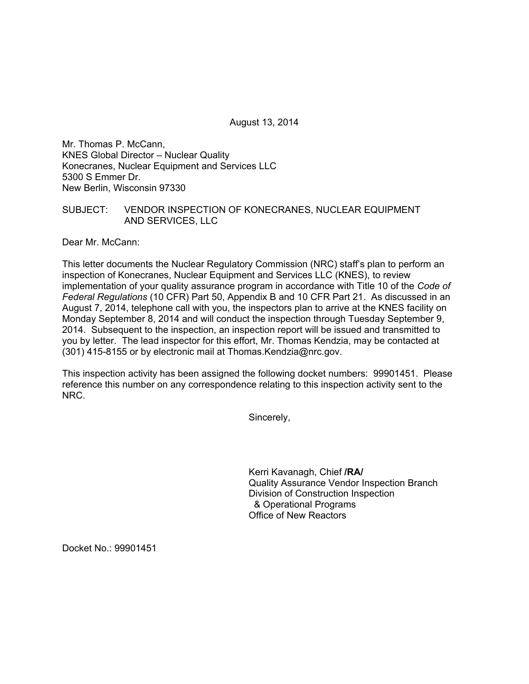August 13, 2014

Mr. Thomas P. McCann, KNES Global Director – Nuclear Quality Konecranes, Nuclear Equipment and Services LLC 5300 S Emmer Dr. New Berlin, Wisconsin 97330

## SUBJECT: VENDOR INSPECTION OF KONECRANES, NUCLEAR EQUIPMENT AND SERVICES, LLC

Dear Mr. McCann:

This letter documents the Nuclear Regulatory Commission (NRC) staff's plan to perform an inspection of Konecranes, Nuclear Equipment and Services LLC (KNES), to review implementation of your quality assurance program in accordance with Title 10 of the *Code of Federal Regulations* (10 CFR) Part 50, Appendix B and 10 CFR Part 21. As discussed in an August 7, 2014, telephone call with you, the inspectors plan to arrive at the KNES facility on Monday September 8, 2014 and will conduct the inspection through Tuesday September 9, 2014. Subsequent to the inspection, an inspection report will be issued and transmitted to you by letter. The lead inspector for this effort, Mr. Thomas Kendzia, may be contacted at (301) 415-8155 or by electronic mail at Thomas.Kendzia@nrc.gov.

This inspection activity has been assigned the following docket numbers: 99901451. Please reference this number on any correspondence relating to this inspection activity sent to the NRC.

Sincerely,

Kerri Kavanagh, Chief **/RA/**  Quality Assurance Vendor Inspection Branch Division of Construction Inspection & Operational Programs Office of New Reactors

Docket No.: 99901451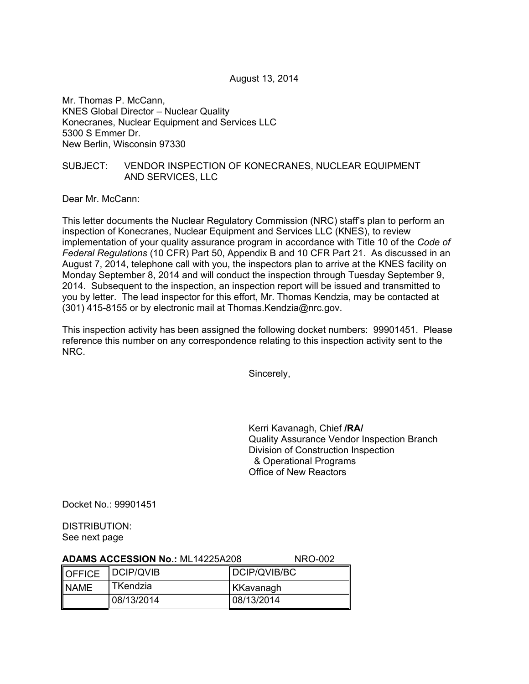August 13, 2014

Mr. Thomas P. McCann, KNES Global Director – Nuclear Quality Konecranes, Nuclear Equipment and Services LLC 5300 S Emmer Dr. New Berlin, Wisconsin 97330

## SUBJECT: VENDOR INSPECTION OF KONECRANES, NUCLEAR EQUIPMENT AND SERVICES, LLC

Dear Mr. McCann:

This letter documents the Nuclear Regulatory Commission (NRC) staff's plan to perform an inspection of Konecranes, Nuclear Equipment and Services LLC (KNES), to review implementation of your quality assurance program in accordance with Title 10 of the *Code of Federal Regulations* (10 CFR) Part 50, Appendix B and 10 CFR Part 21. As discussed in an August 7, 2014, telephone call with you, the inspectors plan to arrive at the KNES facility on Monday September 8, 2014 and will conduct the inspection through Tuesday September 9, 2014. Subsequent to the inspection, an inspection report will be issued and transmitted to you by letter. The lead inspector for this effort, Mr. Thomas Kendzia, may be contacted at (301) 415-8155 or by electronic mail at Thomas.Kendzia@nrc.gov.

This inspection activity has been assigned the following docket numbers: 99901451. Please reference this number on any correspondence relating to this inspection activity sent to the NRC.

Sincerely,

Kerri Kavanagh, Chief **/RA/** Quality Assurance Vendor Inspection Branch Division of Construction Inspection & Operational Programs Office of New Reactors

Docket No.: 99901451

DISTRIBUTION: See next page

| <b>ADAMS ACCESSION No.: ML14225A208</b> |                         | NRO-002          |
|-----------------------------------------|-------------------------|------------------|
|                                         | <b>OFFICE DCIP/QVIB</b> | DCIP/QVIB/BC     |
| <b>NAME</b>                             | TKendzia                | <b>KKavanagh</b> |
|                                         | 08/13/2014              | 08/13/2014       |